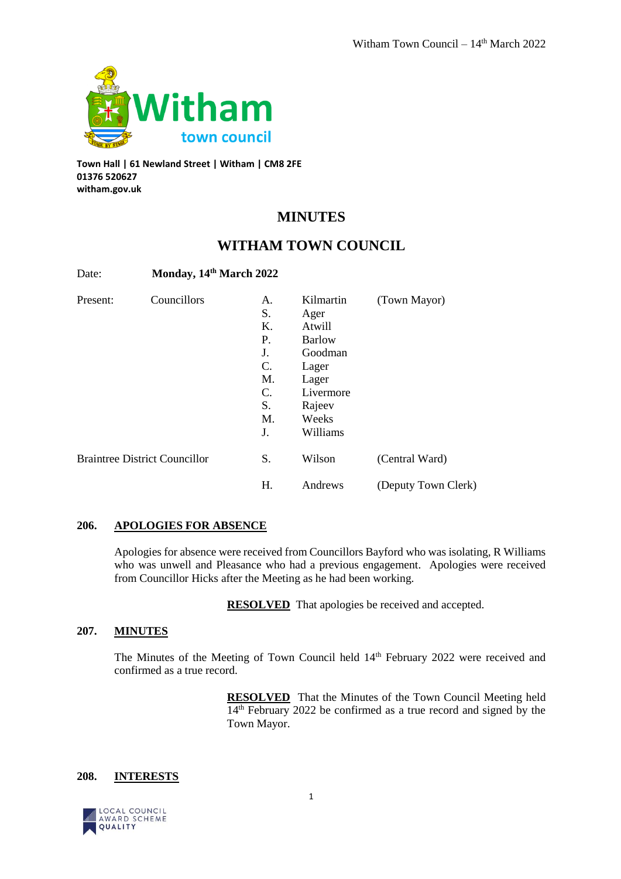

**Town Hall | 61 Newland Street | Witham | CM8 2FE 01376 520627 witham.gov.uk**

# **MINUTES**

# **WITHAM TOWN COUNCIL**

| Date:    | Monday, 14th March 2022              |                                                          |                                                                                                           |                     |
|----------|--------------------------------------|----------------------------------------------------------|-----------------------------------------------------------------------------------------------------------|---------------------|
| Present: | Councillors                          | А.<br>S.<br>Κ.<br>Р.<br>J.<br>C.<br>M.<br>C.<br>S.<br>M. | Kilmartin<br>Ager<br>Atwill<br><b>Barlow</b><br>Goodman<br>Lager<br>Lager<br>Livermore<br>Rajeev<br>Weeks | (Town Mayor)        |
|          |                                      | J.                                                       | Williams                                                                                                  |                     |
|          | <b>Braintree District Councillor</b> | S.                                                       | Wilson                                                                                                    | (Central Ward)      |
|          |                                      | Н.                                                       | Andrews                                                                                                   | (Deputy Town Clerk) |

# **206. APOLOGIES FOR ABSENCE**

Apologies for absence were received from Councillors Bayford who was isolating, R Williams who was unwell and Pleasance who had a previous engagement. Apologies were received from Councillor Hicks after the Meeting as he had been working.

**RESOLVED** That apologies be received and accepted.

# **207. MINUTES**

The Minutes of the Meeting of Town Council held 14<sup>th</sup> February 2022 were received and confirmed as a true record.

> **RESOLVED** That the Minutes of the Town Council Meeting held 14th February 2022 be confirmed as a true record and signed by the Town Mayor.

## **208. INTERESTS**

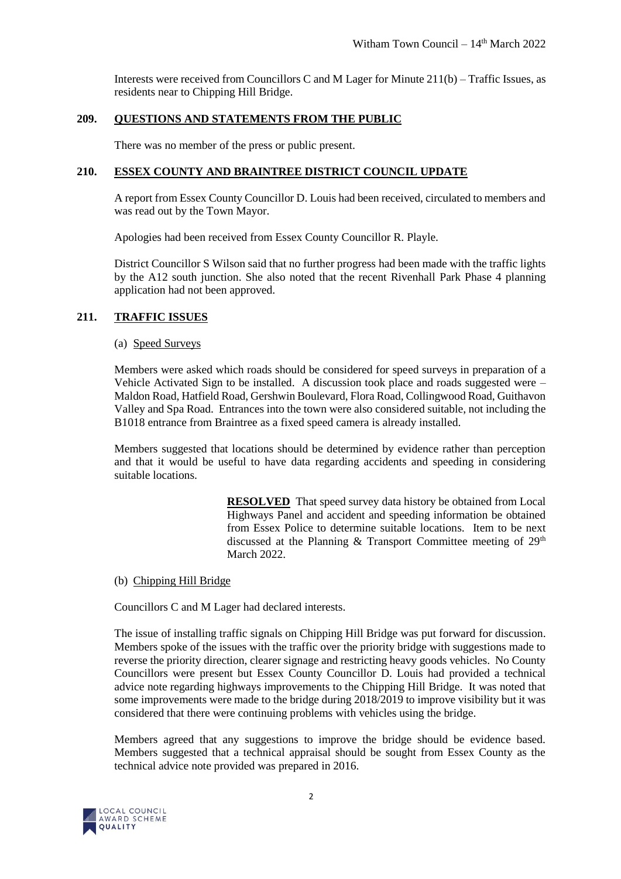Interests were received from Councillors C and M Lager for Minute 211(b) – Traffic Issues, as residents near to Chipping Hill Bridge.

## **209. QUESTIONS AND STATEMENTS FROM THE PUBLIC**

There was no member of the press or public present.

# **210. ESSEX COUNTY AND BRAINTREE DISTRICT COUNCIL UPDATE**

A report from Essex County Councillor D. Louis had been received, circulated to members and was read out by the Town Mayor.

Apologies had been received from Essex County Councillor R. Playle.

District Councillor S Wilson said that no further progress had been made with the traffic lights by the A12 south junction. She also noted that the recent Rivenhall Park Phase 4 planning application had not been approved.

## **211. TRAFFIC ISSUES**

#### (a) Speed Surveys

Members were asked which roads should be considered for speed surveys in preparation of a Vehicle Activated Sign to be installed. A discussion took place and roads suggested were – Maldon Road, Hatfield Road, Gershwin Boulevard, Flora Road, Collingwood Road, Guithavon Valley and Spa Road. Entrances into the town were also considered suitable, not including the B1018 entrance from Braintree as a fixed speed camera is already installed.

Members suggested that locations should be determined by evidence rather than perception and that it would be useful to have data regarding accidents and speeding in considering suitable locations.

> **RESOLVED** That speed survey data history be obtained from Local Highways Panel and accident and speeding information be obtained from Essex Police to determine suitable locations. Item to be next discussed at the Planning  $\&$  Transport Committee meeting of 29<sup>th</sup> March 2022.

#### (b) Chipping Hill Bridge

Councillors C and M Lager had declared interests.

The issue of installing traffic signals on Chipping Hill Bridge was put forward for discussion. Members spoke of the issues with the traffic over the priority bridge with suggestions made to reverse the priority direction, clearer signage and restricting heavy goods vehicles. No County Councillors were present but Essex County Councillor D. Louis had provided a technical advice note regarding highways improvements to the Chipping Hill Bridge. It was noted that some improvements were made to the bridge during 2018/2019 to improve visibility but it was considered that there were continuing problems with vehicles using the bridge.

Members agreed that any suggestions to improve the bridge should be evidence based. Members suggested that a technical appraisal should be sought from Essex County as the technical advice note provided was prepared in 2016.

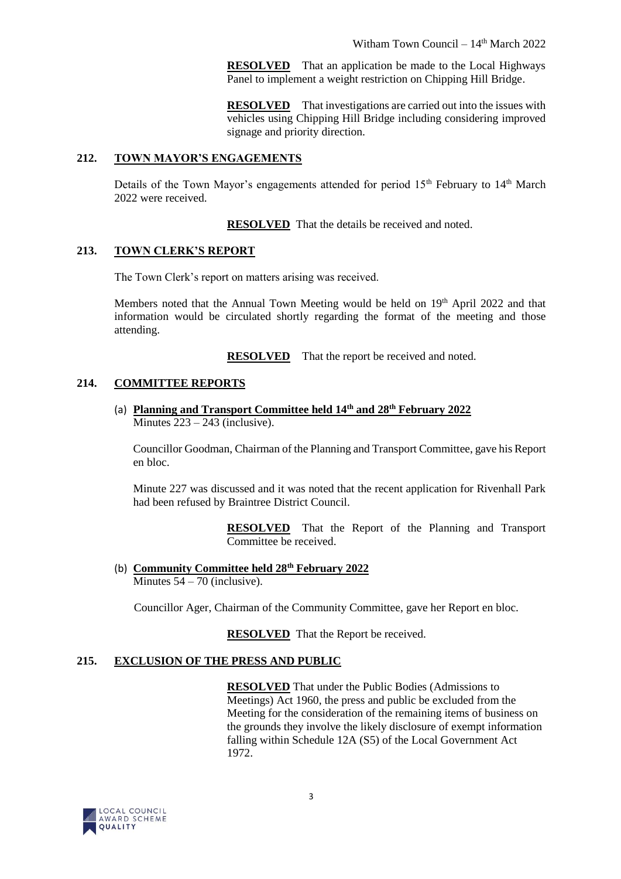**RESOLVED** That an application be made to the Local Highways Panel to implement a weight restriction on Chipping Hill Bridge.

**RESOLVED** That investigations are carried out into the issues with vehicles using Chipping Hill Bridge including considering improved signage and priority direction.

## **212. TOWN MAYOR'S ENGAGEMENTS**

Details of the Town Mayor's engagements attended for period  $15<sup>th</sup>$  February to  $14<sup>th</sup>$  March 2022 were received.

**RESOLVED** That the details be received and noted.

# **213. TOWN CLERK'S REPORT**

The Town Clerk's report on matters arising was received.

Members noted that the Annual Town Meeting would be held on 19<sup>th</sup> April 2022 and that information would be circulated shortly regarding the format of the meeting and those attending.

**RESOLVED** That the report be received and noted.

# **214. COMMITTEE REPORTS**

(a) **Planning and Transport Committee held 14th and 28th February 2022**  Minutes  $223 - 243$  (inclusive).

Councillor Goodman, Chairman of the Planning and Transport Committee, gave his Report en bloc.

Minute 227 was discussed and it was noted that the recent application for Rivenhall Park had been refused by Braintree District Council.

> **RESOLVED** That the Report of the Planning and Transport Committee be received.

(b) **Community Committee held 28th February 2022** Minutes  $54 - 70$  (inclusive).

Councillor Ager, Chairman of the Community Committee, gave her Report en bloc.

**RESOLVED** That the Report be received.

# **215. EXCLUSION OF THE PRESS AND PUBLIC**

**RESOLVED** That under the Public Bodies (Admissions to Meetings) Act 1960, the press and public be excluded from the Meeting for the consideration of the remaining items of business on the grounds they involve the likely disclosure of exempt information falling within Schedule 12A (S5) of the Local Government Act 1972.